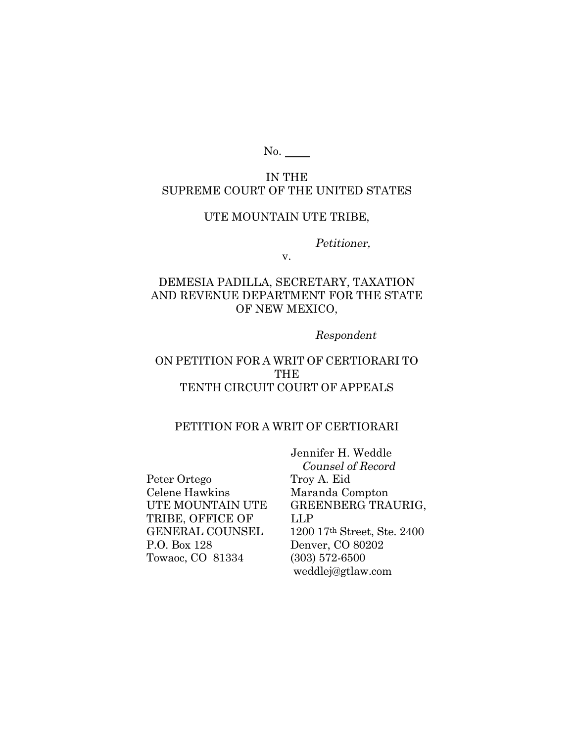No.

# IN THE SUPREME COURT OF THE UNITED STATES

## UTE MOUNTAIN UTE TRIBE,

Petitioner,

v.

## DEMESIA PADILLA, SECRETARY, TAXATION AND REVENUE DEPARTMENT FOR THE STATE OF NEW MEXICO,

#### Respondent

# ON PETITION FOR A WRIT OF CERTIORARI TO **THE** TENTH CIRCUIT COURT OF APPEALS

#### PETITION FOR A WRIT OF CERTIORARI

Peter Ortego Troy A. Eid Celene Hawkins Maranda Compton TRIBE, OFFICE OF LLP P.O. Box 128 Denver, CO 80202 Towaoc, CO 81334 (303) 572-6500

 Jennifer H. Weddle Counsel of Record UTE MOUNTAIN UTE GREENBERG TRAURIG, GENERAL COUNSEL 1200 17th Street, Ste. 2400 weddlej@gtlaw.com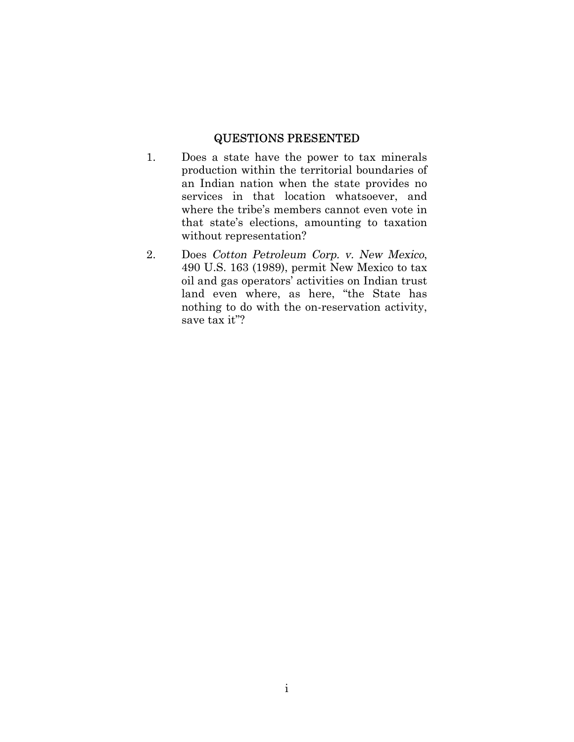## QUESTIONS PRESENTED

- 1. Does a state have the power to tax minerals production within the territorial boundaries of an Indian nation when the state provides no services in that location whatsoever, and where the tribe's members cannot even vote in that state's elections, amounting to taxation without representation?
- 2. Does Cotton Petroleum Corp. v. New Mexico, 490 U.S. 163 (1989), permit New Mexico to tax oil and gas operators' activities on Indian trust land even where, as here, "the State has nothing to do with the on-reservation activity, save tax it"?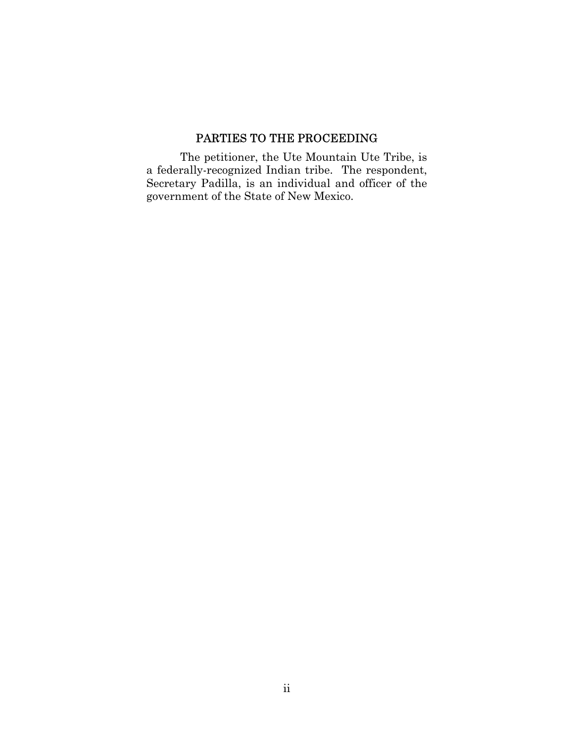# PARTIES TO THE PROCEEDING

The petitioner, the Ute Mountain Ute Tribe, is a federally-recognized Indian tribe. The respondent, Secretary Padilla, is an individual and officer of the government of the State of New Mexico.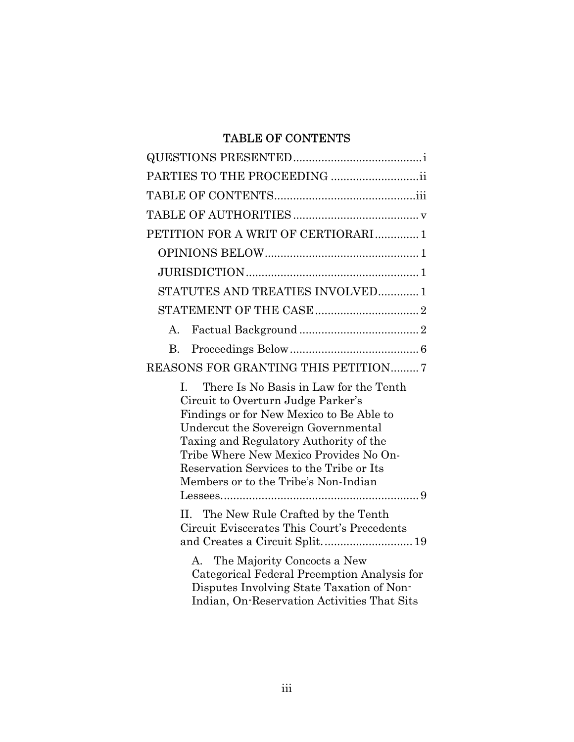# TABLE OF CONTENTS

| PETITION FOR A WRIT OF CERTIORARI1                                                                                                                                                                                                                                                                                                                      |
|---------------------------------------------------------------------------------------------------------------------------------------------------------------------------------------------------------------------------------------------------------------------------------------------------------------------------------------------------------|
|                                                                                                                                                                                                                                                                                                                                                         |
|                                                                                                                                                                                                                                                                                                                                                         |
| STATUTES AND TREATIES INVOLVED 1                                                                                                                                                                                                                                                                                                                        |
|                                                                                                                                                                                                                                                                                                                                                         |
| $\mathbf{A}$                                                                                                                                                                                                                                                                                                                                            |
| <b>B.</b>                                                                                                                                                                                                                                                                                                                                               |
| REASONS FOR GRANTING THIS PETITION7                                                                                                                                                                                                                                                                                                                     |
| There Is No Basis in Law for the Tenth<br>$\mathbf{L}$<br>Circuit to Overturn Judge Parker's<br>Findings or for New Mexico to Be Able to<br>Undercut the Sovereign Governmental<br>Taxing and Regulatory Authority of the<br>Tribe Where New Mexico Provides No On-<br>Reservation Services to the Tribe or Its<br>Members or to the Tribe's Non-Indian |
| The New Rule Crafted by the Tenth<br>II.<br>Circuit Eviscerates This Court's Precedents                                                                                                                                                                                                                                                                 |
| A. The Majority Concocts a New<br>Categorical Federal Preemption Analysis for<br>Disputes Involving State Taxation of Non-<br>Indian, On-Reservation Activities That Sits                                                                                                                                                                               |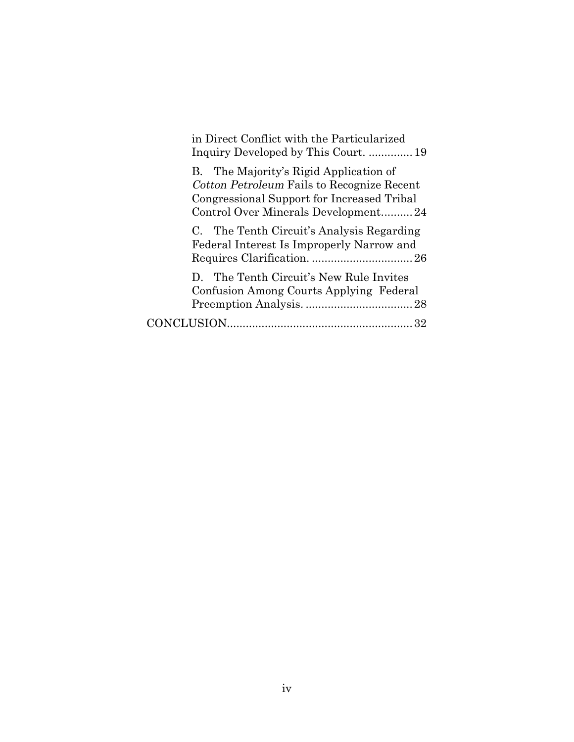| in Direct Conflict with the Particularized                                                                                                                                |
|---------------------------------------------------------------------------------------------------------------------------------------------------------------------------|
| B. The Majority's Rigid Application of<br>Cotton Petroleum Fails to Recognize Recent<br>Congressional Support for Increased Tribal<br>Control Over Minerals Development24 |
| C. The Tenth Circuit's Analysis Regarding<br>Federal Interest Is Improperly Narrow and                                                                                    |
| D. The Tenth Circuit's New Rule Invites<br>Confusion Among Courts Applying Federal                                                                                        |
|                                                                                                                                                                           |
|                                                                                                                                                                           |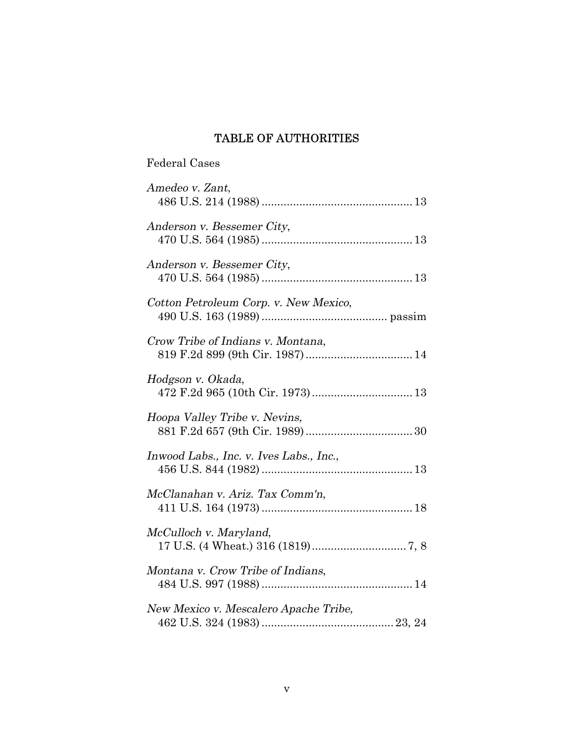# TABLE OF AUTHORITIES

# Federal Cases

| Amedeo v. Zant,                                                      |
|----------------------------------------------------------------------|
| Anderson v. Bessemer City,                                           |
| Anderson v. Bessemer City,                                           |
| Cotton Petroleum Corp. v. New Mexico,                                |
| Crow Tribe of Indians v. Montana,<br>819 F.2d 899 (9th Cir. 1987) 14 |
| Hodgson v. Okada,                                                    |
| Hoopa Valley Tribe v. Nevins,                                        |
| Inwood Labs., Inc. v. Ives Labs., Inc.,                              |
| McClanahan v. Ariz. Tax Comm'n,                                      |
| McCulloch v. Maryland,                                               |
| Montana v. Crow Tribe of Indians,                                    |
| New Mexico v. Mescalero Apache Tribe,                                |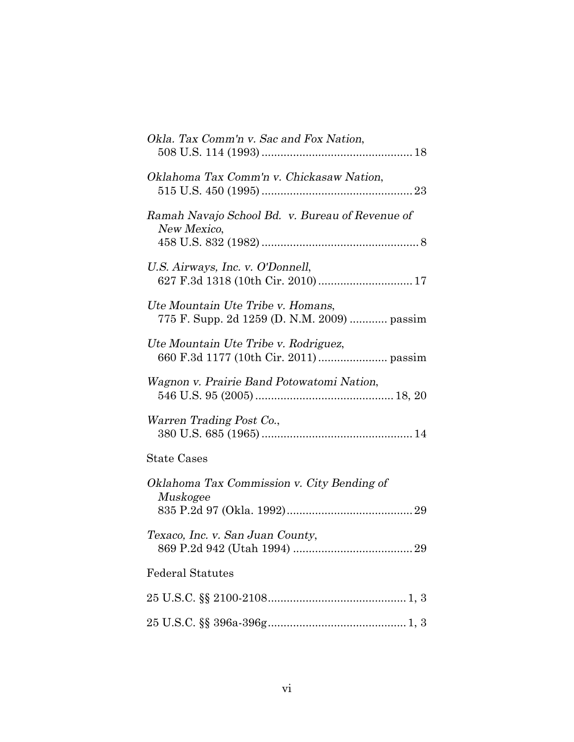| Okla. Tax Comm'n v. Sac and Fox Nation,                                          |
|----------------------------------------------------------------------------------|
| Oklahoma Tax Comm'n v. Chickasaw Nation,                                         |
| Ramah Navajo School Bd. v. Bureau of Revenue of<br>New Mexico,                   |
| U.S. Airways, Inc. v. O'Donnell,                                                 |
| Ute Mountain Ute Tribe v. Homans,<br>775 F. Supp. 2d 1259 (D. N.M. 2009)  passim |
| Ute Mountain Ute Tribe v. Rodriguez,                                             |
| Wagnon v. Prairie Band Potowatomi Nation,                                        |
| Warren Trading Post Co.,                                                         |
| <b>State Cases</b>                                                               |
| Oklahoma Tax Commission v. City Bending of<br>Muskogee                           |
| Texaco, Inc. v. San Juan County,                                                 |
| <b>Federal Statutes</b>                                                          |
|                                                                                  |
|                                                                                  |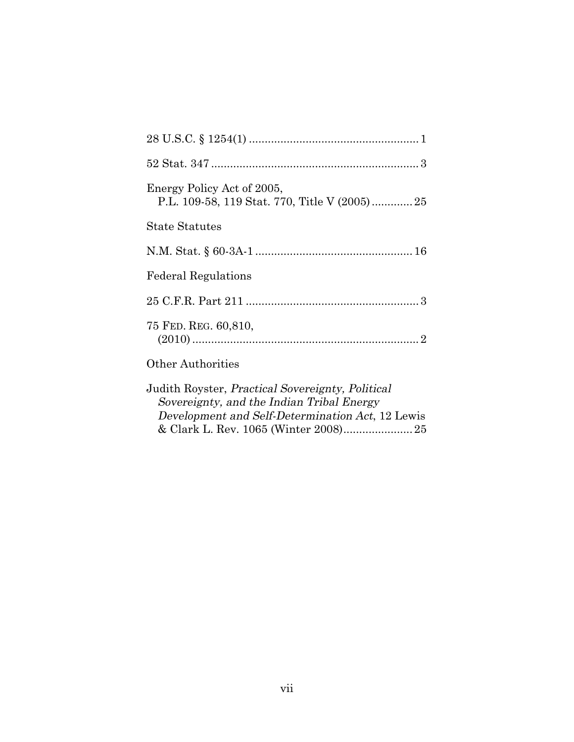| Energy Policy Act of 2005,<br>P.L. 109-58, 119 Stat. 770, Title V (2005)25                                                                               |
|----------------------------------------------------------------------------------------------------------------------------------------------------------|
| <b>State Statutes</b>                                                                                                                                    |
|                                                                                                                                                          |
| <b>Federal Regulations</b>                                                                                                                               |
|                                                                                                                                                          |
| 75 FED. REG. 60,810,                                                                                                                                     |
| <b>Other Authorities</b>                                                                                                                                 |
| Judith Royster, <i>Practical Sovereignty, Political</i><br>Sovereignty, and the Indian Tribal Energy<br>Development and Self-Determination Act, 12 Lewis |

& Clark L. Rev. 1065 (Winter 2008)......................25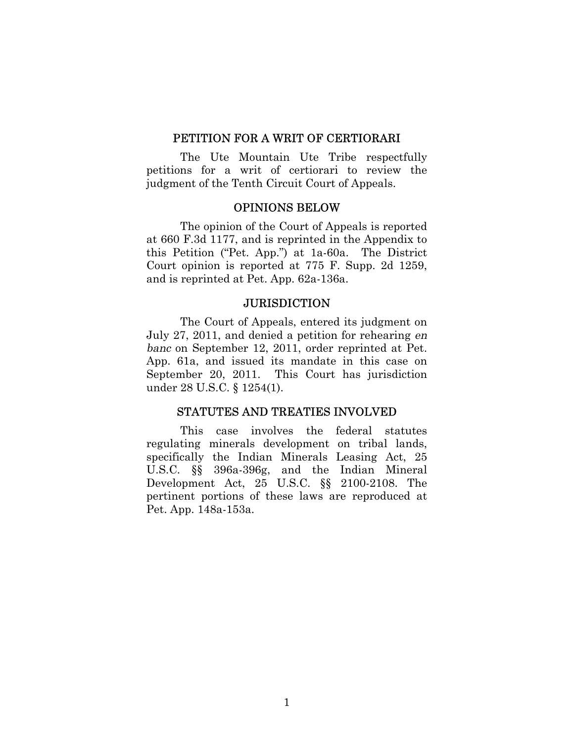#### PETITION FOR A WRIT OF CERTIORARI

The Ute Mountain Ute Tribe respectfully petitions for a writ of certiorari to review the judgment of the Tenth Circuit Court of Appeals.

## OPINIONS BELOW

The opinion of the Court of Appeals is reported at 660 F.3d 1177, and is reprinted in the Appendix to this Petition ("Pet. App.") at 1a-60a. The District Court opinion is reported at 775 F. Supp. 2d 1259, and is reprinted at Pet. App. 62a-136a.

#### **JURISDICTION**

The Court of Appeals, entered its judgment on July 27, 2011, and denied a petition for rehearing en banc on September 12, 2011, order reprinted at Pet. App. 61a, and issued its mandate in this case on September 20, 2011. This Court has jurisdiction under 28 U.S.C. § 1254(1).

#### STATUTES AND TREATIES INVOLVED

This case involves the federal statutes regulating minerals development on tribal lands, specifically the Indian Minerals Leasing Act, 25 U.S.C. §§ 396a-396g, and the Indian Mineral Development Act, 25 U.S.C. §§ 2100-2108. The pertinent portions of these laws are reproduced at Pet. App. 148a-153a.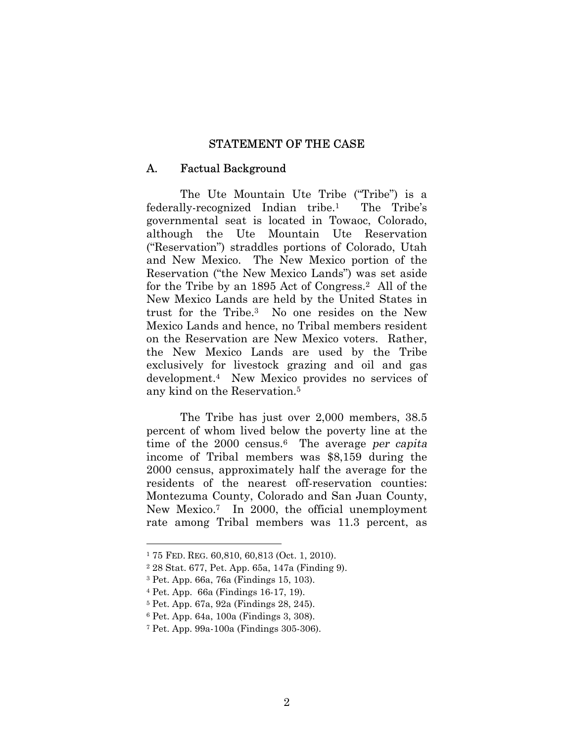#### STATEMENT OF THE CASE

#### A. Factual Background

The Ute Mountain Ute Tribe ("Tribe") is a federally-recognized Indian tribe.1 The Tribe's governmental seat is located in Towaoc, Colorado, although the Ute Mountain Ute Reservation ("Reservation") straddles portions of Colorado, Utah and New Mexico. The New Mexico portion of the Reservation ("the New Mexico Lands") was set aside for the Tribe by an 1895 Act of Congress.2 All of the New Mexico Lands are held by the United States in trust for the Tribe.3 No one resides on the New Mexico Lands and hence, no Tribal members resident on the Reservation are New Mexico voters. Rather, the New Mexico Lands are used by the Tribe exclusively for livestock grazing and oil and gas development.4 New Mexico provides no services of any kind on the Reservation.<sup>5</sup>

The Tribe has just over 2,000 members, 38.5 percent of whom lived below the poverty line at the time of the  $2000$  census.<sup>6</sup> The average per capita income of Tribal members was \$8,159 during the 2000 census, approximately half the average for the residents of the nearest off-reservation counties: Montezuma County, Colorado and San Juan County, New Mexico.7 In 2000, the official unemployment rate among Tribal members was 11.3 percent, as

<sup>1</sup> 75 FED. REG. 60,810, 60,813 (Oct. 1, 2010).

<sup>2</sup> 28 Stat. 677, Pet. App. 65a, 147a (Finding 9).

<sup>3</sup> Pet. App. 66a, 76a (Findings 15, 103).

<sup>4</sup> Pet. App. 66a (Findings 16-17, 19).

<sup>5</sup> Pet. App. 67a, 92a (Findings 28, 245).

<sup>6</sup> Pet. App. 64a, 100a (Findings 3, 308).

<sup>7</sup> Pet. App. 99a-100a (Findings 305-306).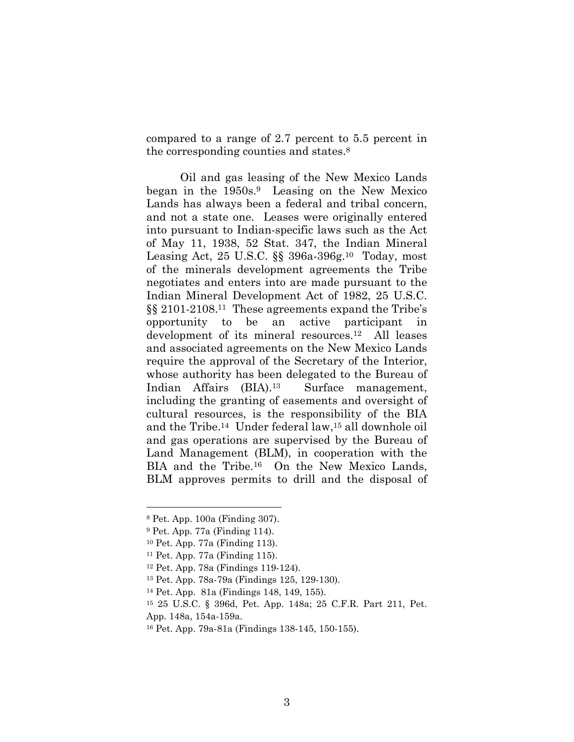compared to a range of 2.7 percent to 5.5 percent in the corresponding counties and states.<sup>8</sup>

Oil and gas leasing of the New Mexico Lands began in the 1950s.9 Leasing on the New Mexico Lands has always been a federal and tribal concern, and not a state one. Leases were originally entered into pursuant to Indian-specific laws such as the Act of May 11, 1938, 52 Stat. 347, the Indian Mineral Leasing Act, 25 U.S.C. §§ 396a-396g. <sup>10</sup> Today, most of the minerals development agreements the Tribe negotiates and enters into are made pursuant to the Indian Mineral Development Act of 1982, 25 U.S.C. §§ 2101-2108. <sup>11</sup> These agreements expand the Tribe's opportunity to be an active participant in development of its mineral resources.12 All leases and associated agreements on the New Mexico Lands require the approval of the Secretary of the Interior, whose authority has been delegated to the Bureau of Indian Affairs (BIA).13 Surface management, including the granting of easements and oversight of cultural resources, is the responsibility of the BIA and the Tribe.14 Under federal law,15 all downhole oil and gas operations are supervised by the Bureau of Land Management (BLM), in cooperation with the BIA and the Tribe.<sup>16</sup> On the New Mexico Lands, BLM approves permits to drill and the disposal of

<sup>8</sup> Pet. App. 100a (Finding 307).

<sup>9</sup> Pet. App. 77a (Finding 114).

<sup>10</sup> Pet. App. 77a (Finding 113).

<sup>11</sup> Pet. App. 77a (Finding 115).

<sup>12</sup> Pet. App. 78a (Findings 119-124).

<sup>13</sup> Pet. App. 78a-79a (Findings 125, 129-130).

<sup>14</sup> Pet. App. 81a (Findings 148, 149, 155).

<sup>15</sup> 25 U.S.C. § 396d, Pet. App. 148a; 25 C.F.R. Part 211, Pet.

App. 148a, 154a-159a.

<sup>16</sup> Pet. App. 79a-81a (Findings 138-145, 150-155).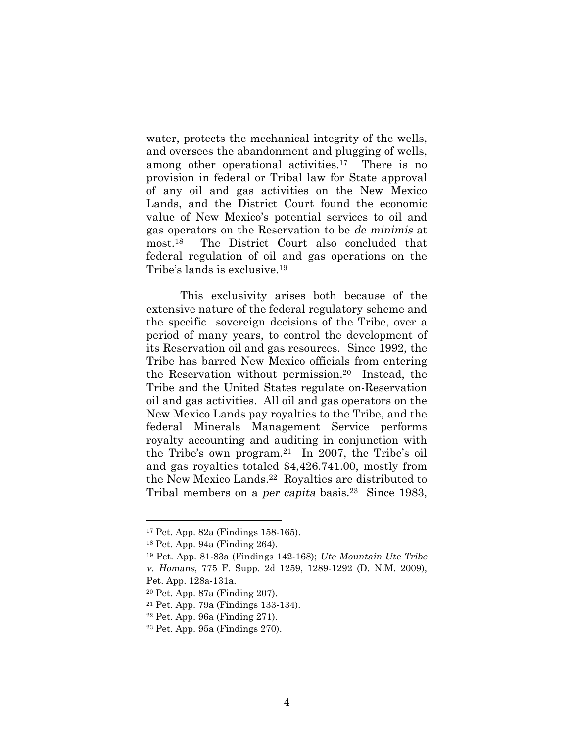water, protects the mechanical integrity of the wells, and oversees the abandonment and plugging of wells, among other operational activities.<sup>17</sup> There is no provision in federal or Tribal law for State approval of any oil and gas activities on the New Mexico Lands, and the District Court found the economic value of New Mexico's potential services to oil and gas operators on the Reservation to be de minimis at most.18 The District Court also concluded that federal regulation of oil and gas operations on the Tribe's lands is exclusive.<sup>19</sup>

This exclusivity arises both because of the extensive nature of the federal regulatory scheme and the specific sovereign decisions of the Tribe, over a period of many years, to control the development of its Reservation oil and gas resources. Since 1992, the Tribe has barred New Mexico officials from entering the Reservation without permission.20 Instead, the Tribe and the United States regulate on-Reservation oil and gas activities. All oil and gas operators on the New Mexico Lands pay royalties to the Tribe, and the federal Minerals Management Service performs royalty accounting and auditing in conjunction with the Tribe's own program.21 In 2007, the Tribe's oil and gas royalties totaled \$4,426.741.00, mostly from the New Mexico Lands.22 Royalties are distributed to Tribal members on a *per capita* basis.<sup>23</sup> Since 1983,

<sup>17</sup> Pet. App. 82a (Findings 158-165).

<sup>18</sup> Pet. App. 94a (Finding 264).

<sup>19</sup> Pet. App. 81-83a (Findings 142-168); Ute Mountain Ute Tribe v. Homans, 775 F. Supp. 2d 1259, 1289-1292 (D. N.M. 2009), Pet. App. 128a-131a.

<sup>20</sup> Pet. App. 87a (Finding 207).

<sup>21</sup> Pet. App. 79a (Findings 133-134).

<sup>22</sup> Pet. App. 96a (Finding 271).

<sup>23</sup> Pet. App. 95a (Findings 270).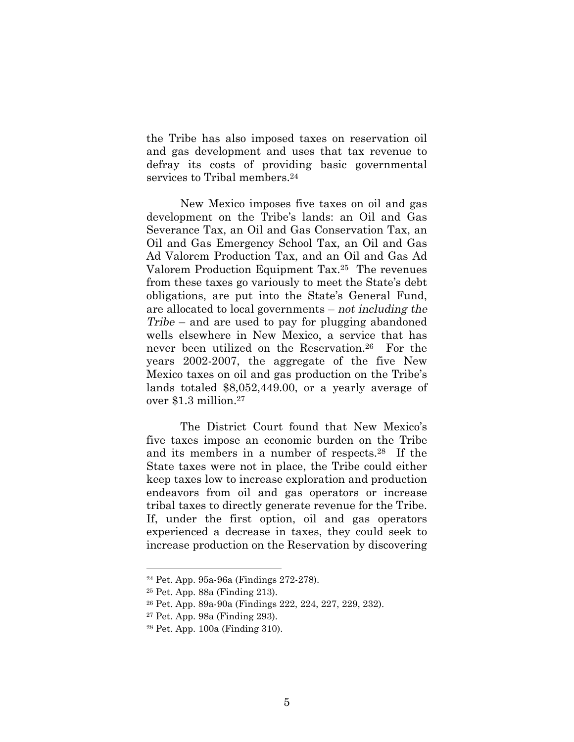the Tribe has also imposed taxes on reservation oil and gas development and uses that tax revenue to defray its costs of providing basic governmental services to Tribal members.<sup>24</sup>

New Mexico imposes five taxes on oil and gas development on the Tribe's lands: an Oil and Gas Severance Tax, an Oil and Gas Conservation Tax, an Oil and Gas Emergency School Tax, an Oil and Gas Ad Valorem Production Tax, and an Oil and Gas Ad Valorem Production Equipment Tax.25 The revenues from these taxes go variously to meet the State's debt obligations, are put into the State's General Fund, are allocated to local governments – not including the Tribe – and are used to pay for plugging abandoned wells elsewhere in New Mexico, a service that has never been utilized on the Reservation.26 For the years 2002-2007, the aggregate of the five New Mexico taxes on oil and gas production on the Tribe's lands totaled \$8,052,449.00, or a yearly average of over \$1.3 million.<sup>27</sup>

The District Court found that New Mexico's five taxes impose an economic burden on the Tribe and its members in a number of respects.28 If the State taxes were not in place, the Tribe could either keep taxes low to increase exploration and production endeavors from oil and gas operators or increase tribal taxes to directly generate revenue for the Tribe. If, under the first option, oil and gas operators experienced a decrease in taxes, they could seek to increase production on the Reservation by discovering

<sup>24</sup> Pet. App. 95a-96a (Findings 272-278).

<sup>25</sup> Pet. App. 88a (Finding 213).

<sup>26</sup> Pet. App. 89a-90a (Findings 222, 224, 227, 229, 232).

<sup>27</sup> Pet. App. 98a (Finding 293).

<sup>28</sup> Pet. App. 100a (Finding 310).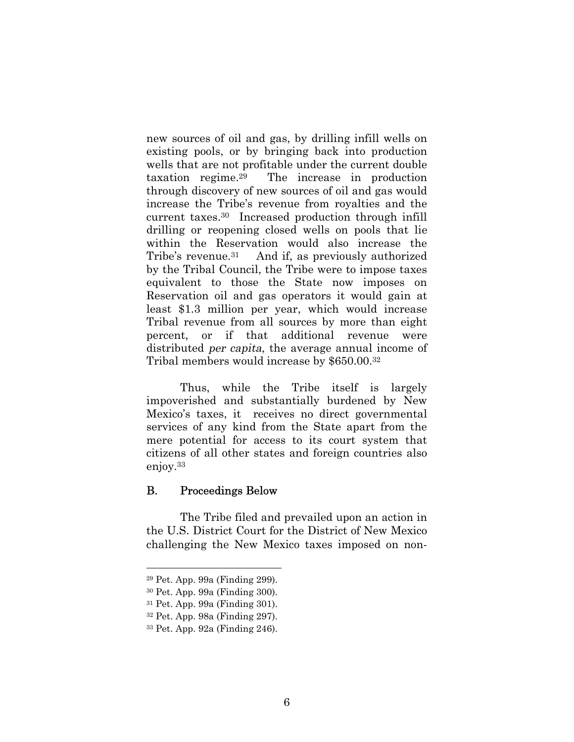new sources of oil and gas, by drilling infill wells on existing pools, or by bringing back into production wells that are not profitable under the current double taxation regime.29 The increase in production through discovery of new sources of oil and gas would increase the Tribe's revenue from royalties and the current taxes.30 Increased production through infill drilling or reopening closed wells on pools that lie within the Reservation would also increase the Tribe's revenue.<sup>31</sup> And if, as previously authorized by the Tribal Council, the Tribe were to impose taxes equivalent to those the State now imposes on Reservation oil and gas operators it would gain at least \$1.3 million per year, which would increase Tribal revenue from all sources by more than eight percent, or if that additional revenue were distributed per capita, the average annual income of Tribal members would increase by \$650.00.<sup>32</sup>

Thus, while the Tribe itself is largely impoverished and substantially burdened by New Mexico's taxes, it receives no direct governmental services of any kind from the State apart from the mere potential for access to its court system that citizens of all other states and foreign countries also enjoy.<sup>33</sup>

### B. Proceedings Below

The Tribe filed and prevailed upon an action in the U.S. District Court for the District of New Mexico challenging the New Mexico taxes imposed on non-

<sup>29</sup> Pet. App. 99a (Finding 299).

<sup>30</sup> Pet. App. 99a (Finding 300).

<sup>31</sup> Pet. App. 99a (Finding 301).

<sup>32</sup> Pet. App. 98a (Finding 297).

<sup>33</sup> Pet. App. 92a (Finding 246).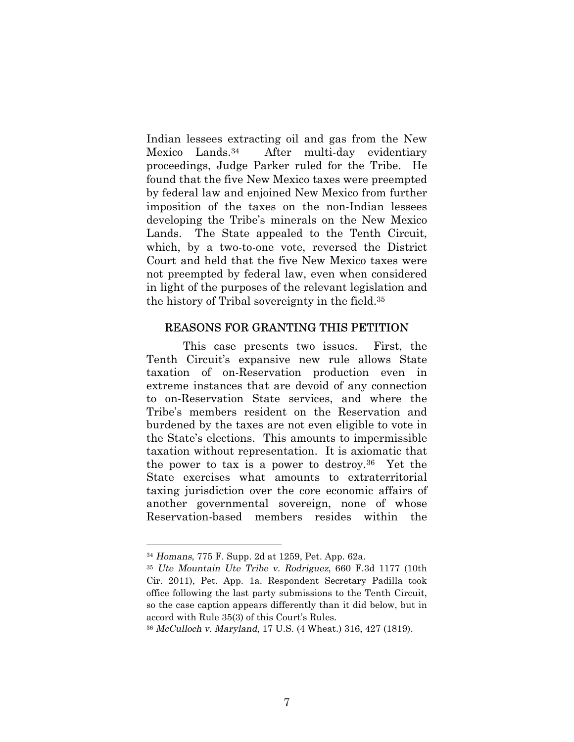Indian lessees extracting oil and gas from the New Mexico Lands.34 After multi-day evidentiary proceedings, Judge Parker ruled for the Tribe. He found that the five New Mexico taxes were preempted by federal law and enjoined New Mexico from further imposition of the taxes on the non-Indian lessees developing the Tribe's minerals on the New Mexico Lands. The State appealed to the Tenth Circuit, which, by a two-to-one vote, reversed the District Court and held that the five New Mexico taxes were not preempted by federal law, even when considered in light of the purposes of the relevant legislation and the history of Tribal sovereignty in the field.<sup>35</sup>

#### REASONS FOR GRANTING THIS PETITION

This case presents two issues. First, the Tenth Circuit's expansive new rule allows State taxation of on-Reservation production even in extreme instances that are devoid of any connection to on-Reservation State services, and where the Tribe's members resident on the Reservation and burdened by the taxes are not even eligible to vote in the State's elections. This amounts to impermissible taxation without representation. It is axiomatic that the power to tax is a power to destroy.36 Yet the State exercises what amounts to extraterritorial taxing jurisdiction over the core economic affairs of another governmental sovereign, none of whose Reservation-based members resides within the

<sup>34</sup> Homans, 775 F. Supp. 2d at 1259, Pet. App. 62a.

<sup>35</sup> Ute Mountain Ute Tribe v. Rodriguez, 660 F.3d 1177 (10th Cir. 2011), Pet. App. 1a. Respondent Secretary Padilla took office following the last party submissions to the Tenth Circuit, so the case caption appears differently than it did below, but in accord with Rule 35(3) of this Court's Rules.

<sup>36</sup> McCulloch v. Maryland, 17 U.S. (4 Wheat.) 316, 427 (1819).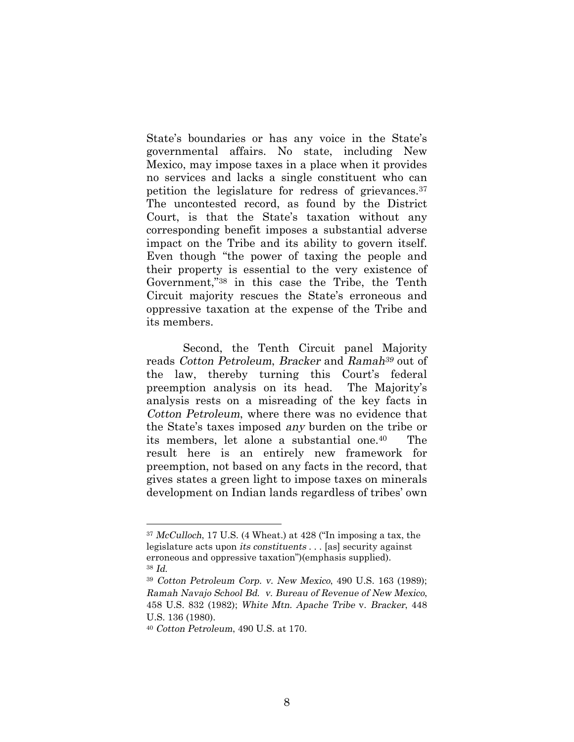State's boundaries or has any voice in the State's governmental affairs. No state, including New Mexico, may impose taxes in a place when it provides no services and lacks a single constituent who can petition the legislature for redress of grievances.<sup>37</sup> The uncontested record, as found by the District Court, is that the State's taxation without any corresponding benefit imposes a substantial adverse impact on the Tribe and its ability to govern itself. Even though "the power of taxing the people and their property is essential to the very existence of Government,"<sup>38</sup> in this case the Tribe, the Tenth Circuit majority rescues the State's erroneous and oppressive taxation at the expense of the Tribe and its members.

Second, the Tenth Circuit panel Majority reads Cotton Petroleum, Bracker and Ramah39 out of the law, thereby turning this Court's federal preemption analysis on its head. The Majority's analysis rests on a misreading of the key facts in Cotton Petroleum, where there was no evidence that the State's taxes imposed any burden on the tribe or its members, let alone a substantial one.40 The result here is an entirely new framework for preemption, not based on any facts in the record, that gives states a green light to impose taxes on minerals development on Indian lands regardless of tribes' own

<sup>37</sup> McCulloch, 17 U.S. (4 Wheat.) at 428 ("In imposing a tax, the legislature acts upon its constituents . . . [as] security against erroneous and oppressive taxation")(emphasis supplied). <sup>38</sup> Id.

<sup>39</sup> Cotton Petroleum Corp. v. New Mexico, 490 U.S. 163 (1989); Ramah Navajo School Bd. v. Bureau of Revenue of New Mexico, 458 U.S. 832 (1982); White Mtn. Apache Tribe v. Bracker, 448 U.S. 136 (1980).

<sup>40</sup> Cotton Petroleum, 490 U.S. at 170.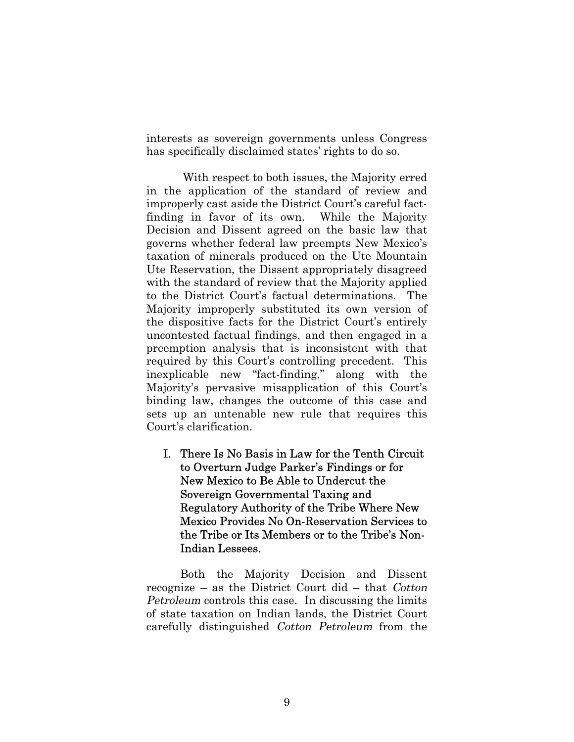interests as sovereign governments unless Congress has specifically disclaimed states' rights to do so.

With respect to both issues, the Majority erred in the application of the standard of review and improperly cast aside the District Court's careful factfinding in favor of its own. While the Majority Decision and Dissent agreed on the basic law that governs whether federal law preempts New Mexico's taxation of minerals produced on the Ute Mountain Ute Reservation, the Dissent appropriately disagreed with the standard of review that the Majority applied to the District Court's factual determinations. The Majority improperly substituted its own version of the dispositive facts for the District Court's entirely uncontested factual findings, and then engaged in a preemption analysis that is inconsistent with that required by this Court's controlling precedent. This inexplicable new "fact-finding," along with the Majority's pervasive misapplication of this Court's binding law, changes the outcome of this case and sets up an untenable new rule that requires this Court's clarification.

I. There Is No Basis in Law for the Tenth Circuit to Overturn Judge Parker's Findings or for New Mexico to Be Able to Undercut the Sovereign Governmental Taxing and Regulatory Authority of the Tribe Where New Mexico Provides No On-Reservation Services to the Tribe or Its Members or to the Tribe's Non-Indian Lessees.

Both the Majority Decision and Dissent recognize – as the District Court did – that Cotton Petroleum controls this case. In discussing the limits of state taxation on Indian lands, the District Court carefully distinguished Cotton Petroleum from the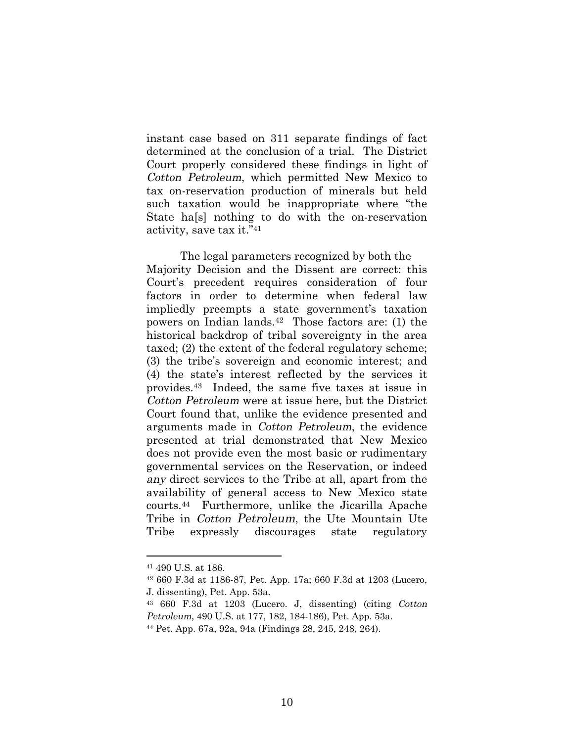instant case based on 311 separate findings of fact determined at the conclusion of a trial. The District Court properly considered these findings in light of Cotton Petroleum, which permitted New Mexico to tax on-reservation production of minerals but held such taxation would be inappropriate where "the State ha[s] nothing to do with the on-reservation activity, save tax it." 41

The legal parameters recognized by both the Majority Decision and the Dissent are correct: this Court's precedent requires consideration of four factors in order to determine when federal law impliedly preempts a state government's taxation powers on Indian lands.42 Those factors are: (1) the historical backdrop of tribal sovereignty in the area taxed; (2) the extent of the federal regulatory scheme; (3) the tribe's sovereign and economic interest; and (4) the state's interest reflected by the services it provides.43 Indeed, the same five taxes at issue in Cotton Petroleum were at issue here, but the District Court found that, unlike the evidence presented and arguments made in Cotton Petroleum, the evidence presented at trial demonstrated that New Mexico does not provide even the most basic or rudimentary governmental services on the Reservation, or indeed any direct services to the Tribe at all, apart from the availability of general access to New Mexico state courts.44 Furthermore, unlike the Jicarilla Apache Tribe in Cotton Petroleum, the Ute Mountain Ute Tribe expressly discourages state regulatory

<sup>41</sup> 490 U.S. at 186.

<sup>42</sup> 660 F.3d at 1186-87, Pet. App. 17a; 660 F.3d at 1203 (Lucero, J. dissenting), Pet. App. 53a.

<sup>43</sup> 660 F.3d at 1203 (Lucero. J, dissenting) (citing Cotton Petroleum, 490 U.S. at 177, 182, 184-186), Pet. App. 53a.

<sup>44</sup> Pet. App. 67a, 92a, 94a (Findings 28, 245, 248, 264).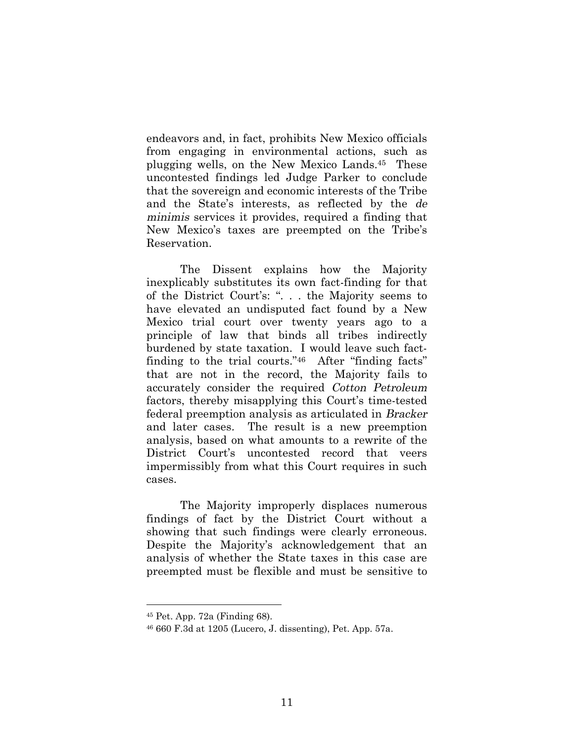endeavors and, in fact, prohibits New Mexico officials from engaging in environmental actions, such as plugging wells, on the New Mexico Lands.45 These uncontested findings led Judge Parker to conclude that the sovereign and economic interests of the Tribe and the State's interests, as reflected by the de minimis services it provides, required a finding that New Mexico's taxes are preempted on the Tribe's Reservation.

The Dissent explains how the Majority inexplicably substitutes its own fact-finding for that of the District Court's: ". . . the Majority seems to have elevated an undisputed fact found by a New Mexico trial court over twenty years ago to a principle of law that binds all tribes indirectly burdened by state taxation. I would leave such factfinding to the trial courts."46 After "finding facts" that are not in the record, the Majority fails to accurately consider the required Cotton Petroleum factors, thereby misapplying this Court's time-tested federal preemption analysis as articulated in Bracker and later cases. The result is a new preemption analysis, based on what amounts to a rewrite of the District Court's uncontested record that veers impermissibly from what this Court requires in such cases.

The Majority improperly displaces numerous findings of fact by the District Court without a showing that such findings were clearly erroneous. Despite the Majority's acknowledgement that an analysis of whether the State taxes in this case are preempted must be flexible and must be sensitive to

<sup>45</sup> Pet. App. 72a (Finding 68).

<sup>46</sup> 660 F.3d at 1205 (Lucero, J. dissenting), Pet. App. 57a.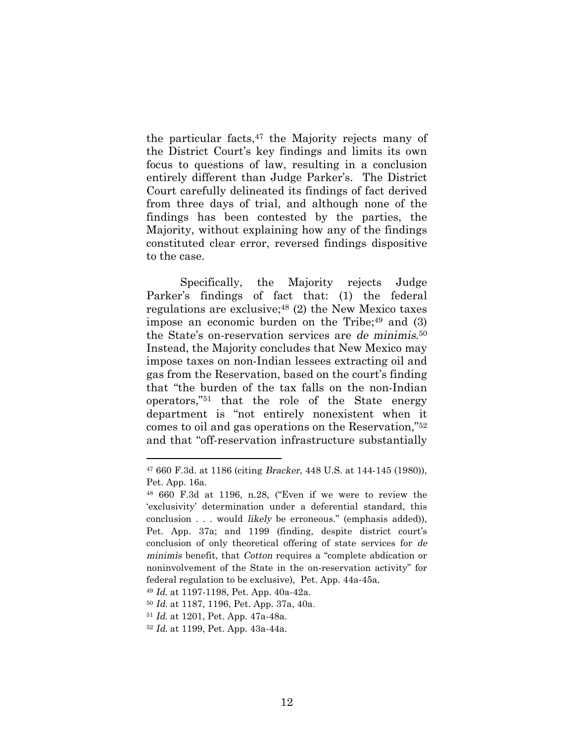the particular facts, $47$  the Majority rejects many of the District Court's key findings and limits its own focus to questions of law, resulting in a conclusion entirely different than Judge Parker's. The District Court carefully delineated its findings of fact derived from three days of trial, and although none of the findings has been contested by the parties, the Majority, without explaining how any of the findings constituted clear error, reversed findings dispositive to the case.

Specifically, the Majority rejects Judge Parker's findings of fact that: (1) the federal regulations are exclusive; $48$  (2) the New Mexico taxes impose an economic burden on the Tribe; $49$  and (3) the State's on-reservation services are de minimis. <sup>50</sup> Instead, the Majority concludes that New Mexico may impose taxes on non-Indian lessees extracting oil and gas from the Reservation, based on the court's finding that "the burden of the tax falls on the non-Indian operators,"51 that the role of the State energy department is "not entirely nonexistent when it comes to oil and gas operations on the Reservation,"<sup>52</sup> and that "off-reservation infrastructure substantially

<sup>47</sup> 660 F.3d. at 1186 (citing Bracker, 448 U.S. at 144-145 (1980)), Pet. App. 16a.

<sup>48</sup> 660 F.3d at 1196, n.28, ("Even if we were to review the 'exclusivity' determination under a deferential standard, this conclusion . . . would likely be erroneous." (emphasis added)), Pet. App. 37a; and 1199 (finding, despite district court's conclusion of only theoretical offering of state services for de minimis benefit, that Cotton requires a "complete abdication or noninvolvement of the State in the on-reservation activity" for federal regulation to be exclusive), Pet. App. 44a-45a.

<sup>49</sup> Id. at 1197-1198, Pet. App. 40a-42a.

<sup>50</sup> Id. at 1187, 1196, Pet. App. 37a, 40a.

<sup>51</sup> Id. at 1201, Pet. App. 47a-48a.

<sup>52</sup> Id. at 1199, Pet. App. 43a-44a.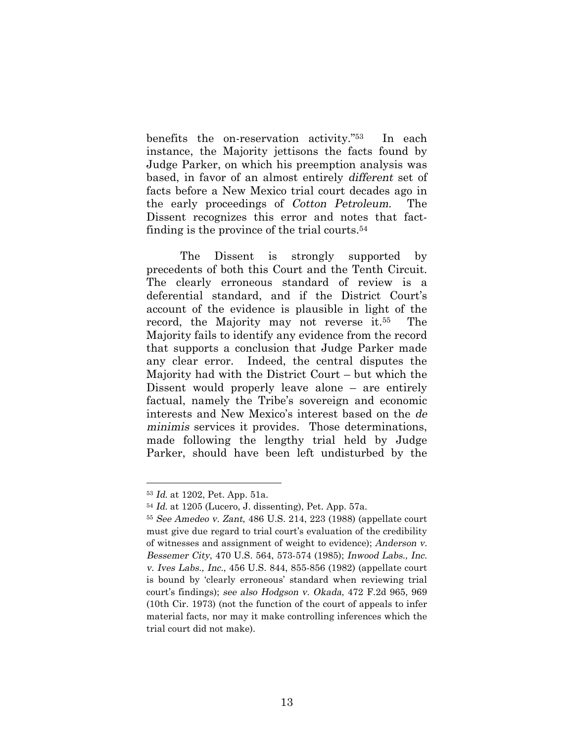benefits the on-reservation activity."53 In each instance, the Majority jettisons the facts found by Judge Parker, on which his preemption analysis was based, in favor of an almost entirely different set of facts before a New Mexico trial court decades ago in the early proceedings of Cotton Petroleum. The Dissent recognizes this error and notes that factfinding is the province of the trial courts.<sup>54</sup>

The Dissent is strongly supported by precedents of both this Court and the Tenth Circuit. The clearly erroneous standard of review is a deferential standard, and if the District Court's account of the evidence is plausible in light of the record, the Majority may not reverse it.55 The Majority fails to identify any evidence from the record that supports a conclusion that Judge Parker made any clear error. Indeed, the central disputes the Majority had with the District Court – but which the Dissent would properly leave alone – are entirely factual, namely the Tribe's sovereign and economic interests and New Mexico's interest based on the de minimis services it provides. Those determinations, made following the lengthy trial held by Judge Parker, should have been left undisturbed by the

<sup>53</sup> Id. at 1202, Pet. App. 51a.

<sup>54</sup> Id. at 1205 (Lucero, J. dissenting), Pet. App. 57a.

<sup>55</sup> See Amedeo v. Zant, 486 U.S. 214, 223 (1988) (appellate court must give due regard to trial court's evaluation of the credibility of witnesses and assignment of weight to evidence); Anderson v. Bessemer City, 470 U.S. 564, 573-574 (1985); Inwood Labs., Inc. v. Ives Labs., Inc., 456 U.S. 844, 855-856 (1982) (appellate court is bound by 'clearly erroneous' standard when reviewing trial court's findings); see also Hodgson v. Okada, 472 F.2d 965, 969 (10th Cir. 1973) (not the function of the court of appeals to infer material facts, nor may it make controlling inferences which the trial court did not make).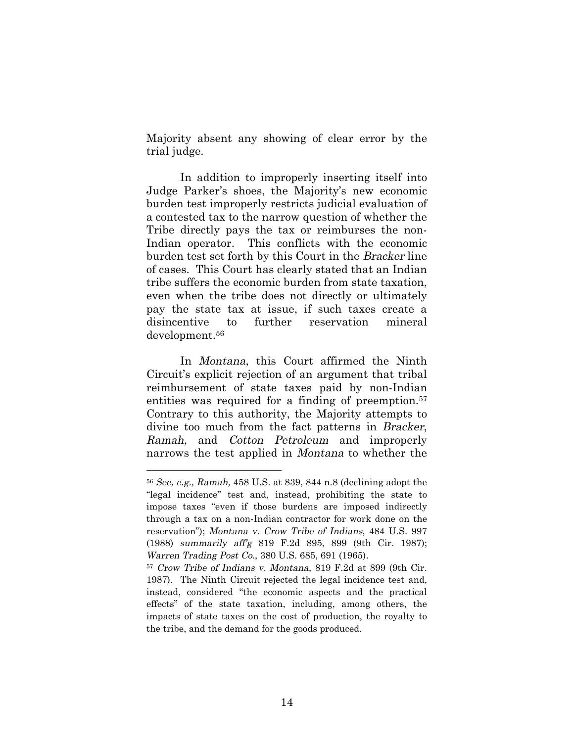Majority absent any showing of clear error by the trial judge.

In addition to improperly inserting itself into Judge Parker's shoes, the Majority's new economic burden test improperly restricts judicial evaluation of a contested tax to the narrow question of whether the Tribe directly pays the tax or reimburses the non-Indian operator. This conflicts with the economic burden test set forth by this Court in the Bracker line of cases. This Court has clearly stated that an Indian tribe suffers the economic burden from state taxation, even when the tribe does not directly or ultimately pay the state tax at issue, if such taxes create a disincentive to further reservation mineral development.<sup>56</sup>

In Montana, this Court affirmed the Ninth Circuit's explicit rejection of an argument that tribal reimbursement of state taxes paid by non-Indian entities was required for a finding of preemption.<sup>57</sup> Contrary to this authority, the Majority attempts to divine too much from the fact patterns in Bracker, Ramah, and Cotton Petroleum and improperly narrows the test applied in Montana to whether the

<sup>56</sup> See, e.g., Ramah, 458 U.S. at 839, 844 n.8 (declining adopt the "legal incidence" test and, instead, prohibiting the state to impose taxes "even if those burdens are imposed indirectly through a tax on a non-Indian contractor for work done on the reservation"); Montana v. Crow Tribe of Indians, 484 U.S. 997 (1988) summarily aff'g 819 F.2d 895, 899 (9th Cir. 1987); Warren Trading Post Co., 380 U.S. 685, 691 (1965).

<sup>57</sup> Crow Tribe of Indians v. Montana, 819 F.2d at 899 (9th Cir. 1987). The Ninth Circuit rejected the legal incidence test and, instead, considered "the economic aspects and the practical effects" of the state taxation, including, among others, the impacts of state taxes on the cost of production, the royalty to the tribe, and the demand for the goods produced.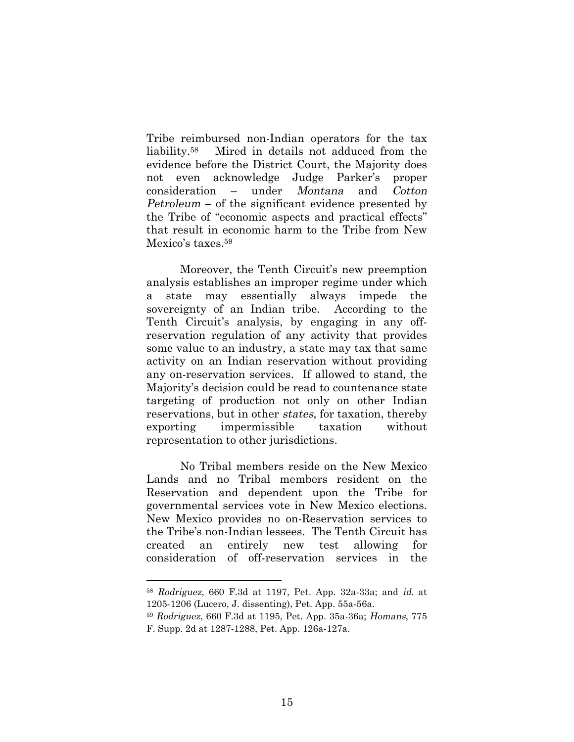Tribe reimbursed non-Indian operators for the tax liability.58 Mired in details not adduced from the evidence before the District Court, the Majority does not even acknowledge Judge Parker's proper consideration – under Montana and Cotton Petroleum – of the significant evidence presented by the Tribe of "economic aspects and practical effects" that result in economic harm to the Tribe from New Mexico's taxes.<sup>59</sup>

Moreover, the Tenth Circuit's new preemption analysis establishes an improper regime under which a state may essentially always impede the sovereignty of an Indian tribe. According to the Tenth Circuit's analysis, by engaging in any offreservation regulation of any activity that provides some value to an industry, a state may tax that same activity on an Indian reservation without providing any on-reservation services. If allowed to stand, the Majority's decision could be read to countenance state targeting of production not only on other Indian reservations, but in other states, for taxation, thereby exporting impermissible taxation without representation to other jurisdictions.

No Tribal members reside on the New Mexico Lands and no Tribal members resident on the Reservation and dependent upon the Tribe for governmental services vote in New Mexico elections. New Mexico provides no on-Reservation services to the Tribe's non-Indian lessees. The Tenth Circuit has created an entirely new test allowing for consideration of off-reservation services in the

<sup>58</sup> Rodriguez, 660 F.3d at 1197, Pet. App. 32a-33a; and id. at 1205-1206 (Lucero, J. dissenting), Pet. App. 55a-56a.

<sup>59</sup> Rodriguez, 660 F.3d at 1195, Pet. App. 35a-36a; Homans, 775 F. Supp. 2d at 1287-1288, Pet. App. 126a-127a.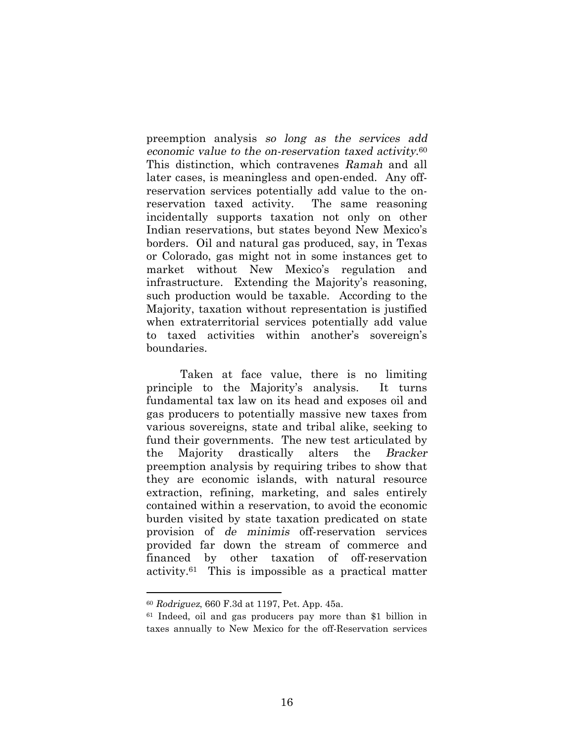preemption analysis so long as the services add economic value to the on-reservation taxed activity.<sup>60</sup> This distinction, which contravenes Ramah and all later cases, is meaningless and open-ended. Any offreservation services potentially add value to the onreservation taxed activity. The same reasoning incidentally supports taxation not only on other Indian reservations, but states beyond New Mexico's borders. Oil and natural gas produced, say, in Texas or Colorado, gas might not in some instances get to market without New Mexico's regulation and infrastructure. Extending the Majority's reasoning, such production would be taxable. According to the Majority, taxation without representation is justified when extraterritorial services potentially add value to taxed activities within another's sovereign's boundaries.

Taken at face value, there is no limiting principle to the Majority's analysis. It turns fundamental tax law on its head and exposes oil and gas producers to potentially massive new taxes from various sovereigns, state and tribal alike, seeking to fund their governments. The new test articulated by the Majority drastically alters the Bracker preemption analysis by requiring tribes to show that they are economic islands, with natural resource extraction, refining, marketing, and sales entirely contained within a reservation, to avoid the economic burden visited by state taxation predicated on state provision of de minimis off-reservation services provided far down the stream of commerce and financed by other taxation of off-reservation activity.61 This is impossible as a practical matter

<sup>60</sup> Rodriguez, 660 F.3d at 1197, Pet. App. 45a.

<sup>61</sup> Indeed, oil and gas producers pay more than \$1 billion in taxes annually to New Mexico for the off-Reservation services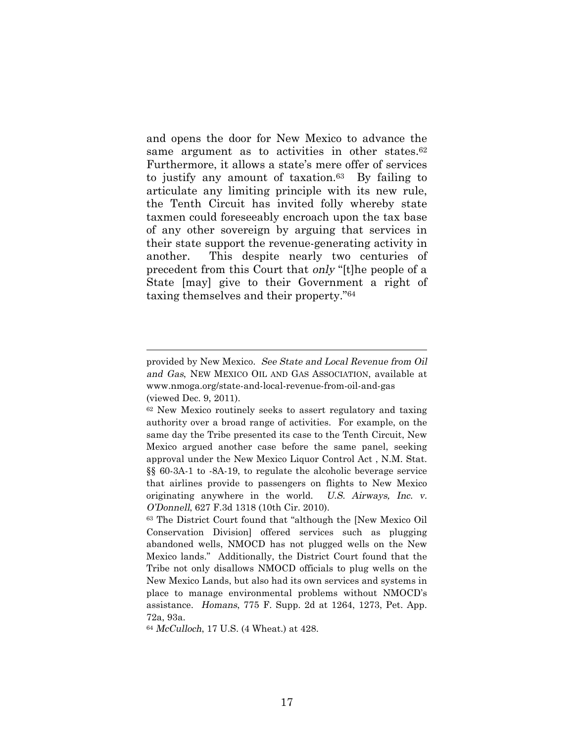and opens the door for New Mexico to advance the same argument as to activities in other states.<sup>62</sup> Furthermore, it allows a state's mere offer of services to justify any amount of taxation.63 By failing to articulate any limiting principle with its new rule, the Tenth Circuit has invited folly whereby state taxmen could foreseeably encroach upon the tax base of any other sovereign by arguing that services in their state support the revenue-generating activity in another. This despite nearly two centuries of precedent from this Court that only "[t]he people of a State [may] give to their Government a right of taxing themselves and their property."<sup>64</sup>

provided by New Mexico. See State and Local Revenue from Oil and Gas, NEW MEXICO OIL AND GAS ASSOCIATION, available at w[ww.nmoga.org/s](www.nmoga.org/)tate-and-local-revenue-from-oil-and-gas (viewed Dec. 9, 2011).

<sup>62</sup> New Mexico routinely seeks to assert regulatory and taxing authority over a broad range of activities. For example, on the same day the Tribe presented its case to the Tenth Circuit, New Mexico argued another case before the same panel, seeking approval under the New Mexico Liquor Control Act , N.M. Stat. §§ 60-3A-1 to -8A-19, to regulate the alcoholic beverage service that airlines provide to passengers on flights to New Mexico originating anywhere in the world. U.S. Airways, Inc. v. O'Donnell, 627 F.3d 1318 (10th Cir. 2010).

<sup>63</sup> The District Court found that "although the [New Mexico Oil Conservation Division] offered services such as plugging abandoned wells, NMOCD has not plugged wells on the New Mexico lands." Additionally, the District Court found that the Tribe not only disallows NMOCD officials to plug wells on the New Mexico Lands, but also had its own services and systems in place to manage environmental problems without NMOCD's assistance. Homans, 775 F. Supp. 2d at 1264, 1273, Pet. App. 72a, 93a.

<sup>64</sup> McCulloch, 17 U.S. (4 Wheat.) at 428.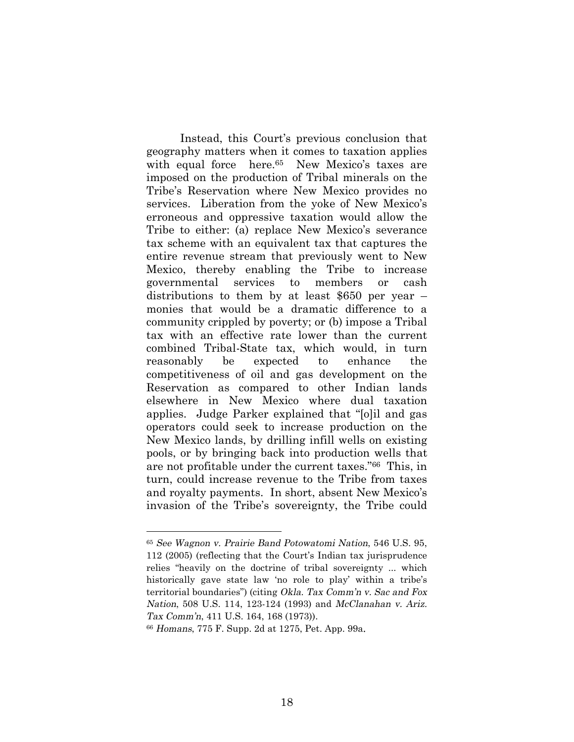Instead, this Court's previous conclusion that geography matters when it comes to taxation applies with equal force here.<sup>65</sup> New Mexico's taxes are imposed on the production of Tribal minerals on the Tribe's Reservation where New Mexico provides no services. Liberation from the yoke of New Mexico's erroneous and oppressive taxation would allow the Tribe to either: (a) replace New Mexico's severance tax scheme with an equivalent tax that captures the entire revenue stream that previously went to New Mexico, thereby enabling the Tribe to increase governmental services to members or cash distributions to them by at least \$650 per year – monies that would be a dramatic difference to a community crippled by poverty; or (b) impose a Tribal tax with an effective rate lower than the current combined Tribal-State tax, which would, in turn reasonably be expected to enhance the competitiveness of oil and gas development on the Reservation as compared to other Indian lands elsewhere in New Mexico where dual taxation applies. Judge Parker explained that "[o]il and gas operators could seek to increase production on the New Mexico lands, by drilling infill wells on existing pools, or by bringing back into production wells that are not profitable under the current taxes."66 This, in turn, could increase revenue to the Tribe from taxes and royalty payments. In short, absent New Mexico's invasion of the Tribe's sovereignty, the Tribe could

<sup>65</sup> See Wagnon v. Prairie Band Potowatomi Nation, 546 U.S. 95, 112 (2005) (reflecting that the Court's Indian tax jurisprudence relies "heavily on the doctrine of tribal sovereignty ... which historically gave state law 'no role to play' within a tribe's territorial boundaries") (citing Okla. Tax Comm'n v. Sac and Fox Nation, 508 U.S. 114, 123-124 (1993) and McClanahan v. Ariz. Tax Comm'n, 411 U.S. 164, 168 (1973)).

<sup>66</sup> Homans, 775 F. Supp. 2d at 1275, Pet. App. 99a.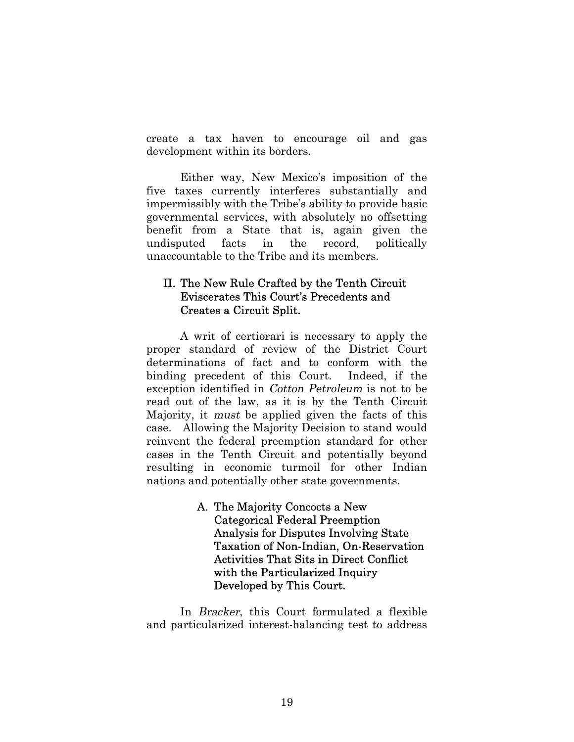create a tax haven to encourage oil and gas development within its borders.

Either way, New Mexico's imposition of the five taxes currently interferes substantially and impermissibly with the Tribe's ability to provide basic governmental services, with absolutely no offsetting benefit from a State that is, again given the undisputed facts in the record, politically unaccountable to the Tribe and its members.

# II. The New Rule Crafted by the Tenth Circuit Eviscerates This Court's Precedents and Creates a Circuit Split.

A writ of certiorari is necessary to apply the proper standard of review of the District Court determinations of fact and to conform with the binding precedent of this Court. Indeed, if the exception identified in Cotton Petroleum is not to be read out of the law, as it is by the Tenth Circuit Majority, it must be applied given the facts of this case. Allowing the Majority Decision to stand would reinvent the federal preemption standard for other cases in the Tenth Circuit and potentially beyond resulting in economic turmoil for other Indian nations and potentially other state governments.

> A. The Majority Concocts a New Categorical Federal Preemption Analysis for Disputes Involving State Taxation of Non-Indian, On-Reservation Activities That Sits in Direct Conflict with the Particularized Inquiry Developed by This Court.

In Bracker, this Court formulated a flexible and particularized interest-balancing test to address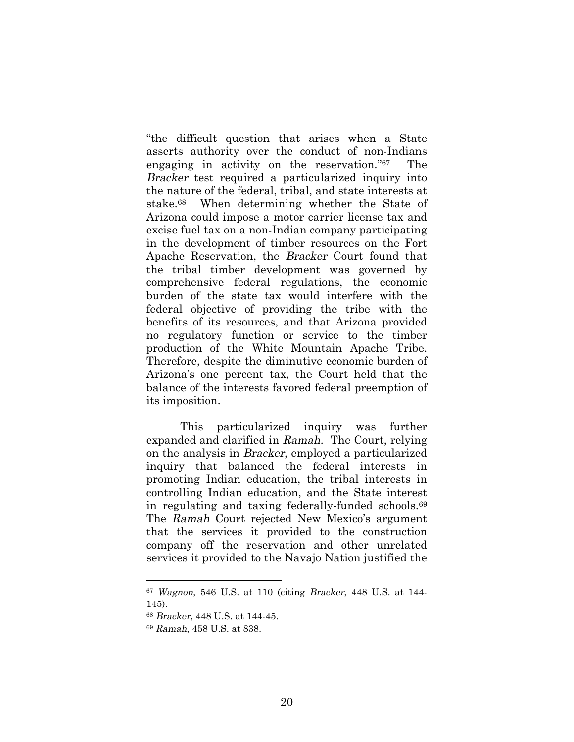"the difficult question that arises when a State asserts authority over the conduct of non-Indians engaging in activity on the reservation."67 The Bracker test required a particularized inquiry into the nature of the federal, tribal, and state interests at stake.68 When determining whether the State of Arizona could impose a motor carrier license tax and excise fuel tax on a non-Indian company participating in the development of timber resources on the Fort Apache Reservation, the Bracker Court found that the tribal timber development was governed by comprehensive federal regulations, the economic burden of the state tax would interfere with the federal objective of providing the tribe with the benefits of its resources, and that Arizona provided no regulatory function or service to the timber production of the White Mountain Apache Tribe. Therefore, despite the diminutive economic burden of Arizona's one percent tax, the Court held that the balance of the interests favored federal preemption of its imposition.

This particularized inquiry was further expanded and clarified in Ramah. The Court, relying on the analysis in Bracker, employed a particularized inquiry that balanced the federal interests in promoting Indian education, the tribal interests in controlling Indian education, and the State interest in regulating and taxing federally-funded schools.<sup>69</sup> The Ramah Court rejected New Mexico's argument that the services it provided to the construction company off the reservation and other unrelated services it provided to the Navajo Nation justified the

<sup>67</sup> Wagnon, 546 U.S. at 110 (citing Bracker, 448 U.S. at 144- 145).

<sup>68</sup> Bracker, 448 U.S. at 144-45.

<sup>69</sup> Ramah, 458 U.S. at 838.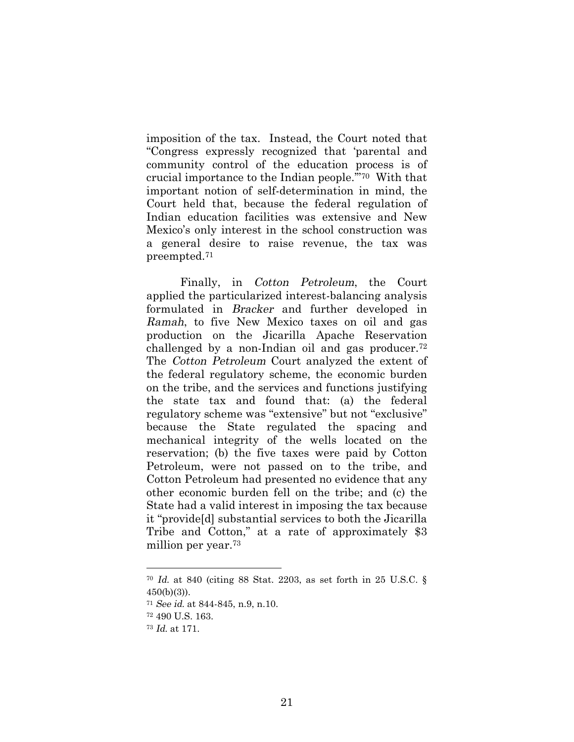imposition of the tax. Instead, the Court noted that "Congress expressly recognized that 'parental and community control of the education process is of crucial importance to the Indian people.'"70 With that important notion of self-determination in mind, the Court held that, because the federal regulation of Indian education facilities was extensive and New Mexico's only interest in the school construction was a general desire to raise revenue, the tax was preempted.<sup>71</sup>

Finally, in Cotton Petroleum, the Court applied the particularized interest-balancing analysis formulated in Bracker and further developed in Ramah, to five New Mexico taxes on oil and gas production on the Jicarilla Apache Reservation challenged by a non-Indian oil and gas producer.<sup>72</sup> The Cotton Petroleum Court analyzed the extent of the federal regulatory scheme, the economic burden on the tribe, and the services and functions justifying the state tax and found that: (a) the federal regulatory scheme was "extensive" but not "exclusive" because the State regulated the spacing and mechanical integrity of the wells located on the reservation; (b) the five taxes were paid by Cotton Petroleum, were not passed on to the tribe, and Cotton Petroleum had presented no evidence that any other economic burden fell on the tribe; and (c) the State had a valid interest in imposing the tax because it "provide[d] substantial services to both the Jicarilla Tribe and Cotton," at a rate of approximately \$3 million per year.<sup>73</sup>

<sup>70</sup> Id. at 840 (citing 88 Stat. 2203, as set forth in 25 U.S.C. §  $450(b)(3)$ ).

<sup>71</sup> See id. at 844-845, n.9, n.10.

<sup>72</sup> 490 U.S. 163.

<sup>73</sup> Id. at 171.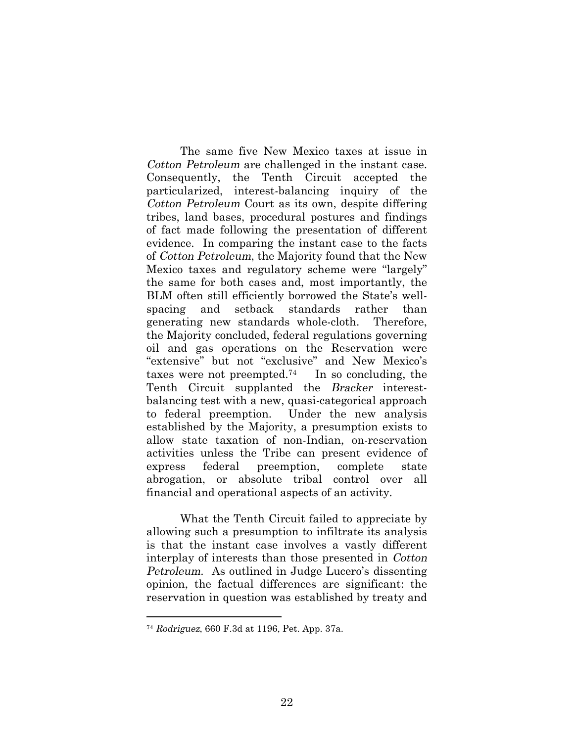The same five New Mexico taxes at issue in Cotton Petroleum are challenged in the instant case. Consequently, the Tenth Circuit accepted the particularized, interest-balancing inquiry of the Cotton Petroleum Court as its own, despite differing tribes, land bases, procedural postures and findings of fact made following the presentation of different evidence. In comparing the instant case to the facts of Cotton Petroleum, the Majority found that the New Mexico taxes and regulatory scheme were "largely" the same for both cases and, most importantly, the BLM often still efficiently borrowed the State's wellspacing and setback standards rather than generating new standards whole-cloth. Therefore, the Majority concluded, federal regulations governing oil and gas operations on the Reservation were "extensive" but not "exclusive" and New Mexico's taxes were not preempted.74 In so concluding, the Tenth Circuit supplanted the Bracker interestbalancing test with a new, quasi-categorical approach to federal preemption. Under the new analysis established by the Majority, a presumption exists to allow state taxation of non-Indian, on-reservation activities unless the Tribe can present evidence of express federal preemption, complete state abrogation, or absolute tribal control over all financial and operational aspects of an activity.

What the Tenth Circuit failed to appreciate by allowing such a presumption to infiltrate its analysis is that the instant case involves a vastly different interplay of interests than those presented in Cotton Petroleum. As outlined in Judge Lucero's dissenting opinion, the factual differences are significant: the reservation in question was established by treaty and

<sup>74</sup> Rodriguez, 660 F.3d at 1196, Pet. App. 37a.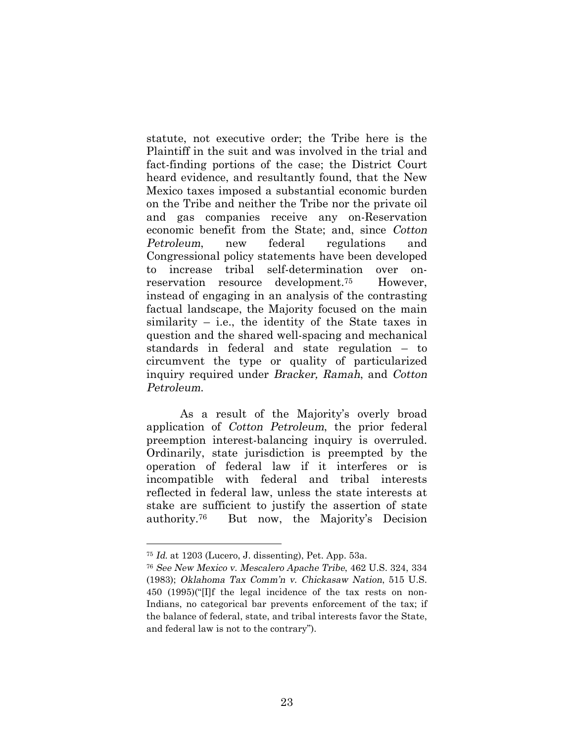statute, not executive order; the Tribe here is the Plaintiff in the suit and was involved in the trial and fact-finding portions of the case; the District Court heard evidence, and resultantly found, that the New Mexico taxes imposed a substantial economic burden on the Tribe and neither the Tribe nor the private oil and gas companies receive any on-Reservation economic benefit from the State; and, since Cotton Petroleum, new federal regulations and Congressional policy statements have been developed to increase tribal self-determination over onreservation resource development.75 However, instead of engaging in an analysis of the contrasting factual landscape, the Majority focused on the main similarity – i.e., the identity of the State taxes in question and the shared well-spacing and mechanical standards in federal and state regulation – to circumvent the type or quality of particularized inquiry required under Bracker, Ramah, and Cotton Petroleum.

As a result of the Majority's overly broad application of Cotton Petroleum, the prior federal preemption interest-balancing inquiry is overruled. Ordinarily, state jurisdiction is preempted by the operation of federal law if it interferes or is incompatible with federal and tribal interests reflected in federal law, unless the state interests at stake are sufficient to justify the assertion of state authority.76 But now, the Majority's Decision

<sup>75</sup> Id. at 1203 (Lucero, J. dissenting), Pet. App. 53a.

<sup>76</sup> See New Mexico v. Mescalero Apache Tribe, 462 U.S. 324, 334 (1983); Oklahoma Tax Comm'n v. Chickasaw Nation, 515 U.S. 450 (1995)("[I]f the legal incidence of the tax rests on non-Indians, no categorical bar prevents enforcement of the tax; if the balance of federal, state, and tribal interests favor the State, and federal law is not to the contrary").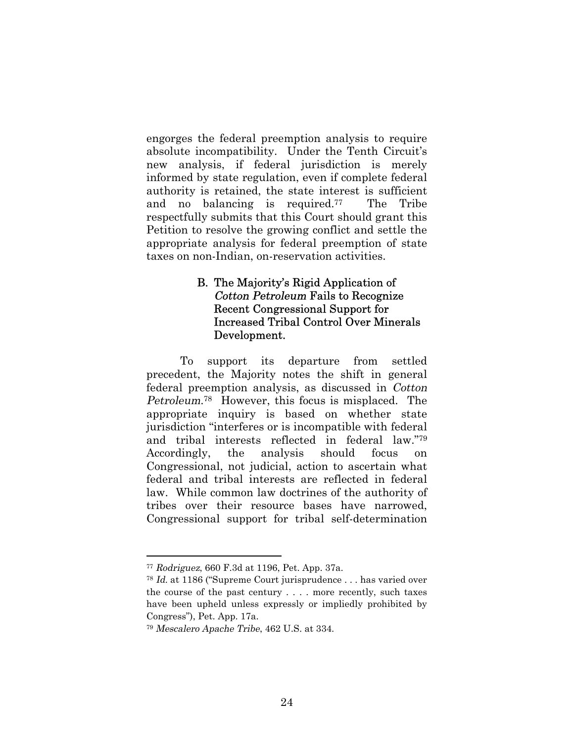engorges the federal preemption analysis to require absolute incompatibility. Under the Tenth Circuit's new analysis, if federal jurisdiction is merely informed by state regulation, even if complete federal authority is retained, the state interest is sufficient and no balancing is required.77 The Tribe respectfully submits that this Court should grant this Petition to resolve the growing conflict and settle the appropriate analysis for federal preemption of state taxes on non-Indian, on-reservation activities.

## B. The Majority's Rigid Application of Cotton Petroleum Fails to Recognize Recent Congressional Support for Increased Tribal Control Over Minerals Development.

To support its departure from settled precedent, the Majority notes the shift in general federal preemption analysis, as discussed in Cotton Petroleum. <sup>78</sup> However, this focus is misplaced. The appropriate inquiry is based on whether state jurisdiction "interferes or is incompatible with federal and tribal interests reflected in federal law."<sup>79</sup> Accordingly, the analysis should focus on Congressional, not judicial, action to ascertain what federal and tribal interests are reflected in federal law. While common law doctrines of the authority of tribes over their resource bases have narrowed, Congressional support for tribal self-determination

<sup>77</sup> Rodriguez, 660 F.3d at 1196, Pet. App. 37a.

<sup>78</sup> Id. at 1186 ("Supreme Court jurisprudence . . . has varied over the course of the past century . . . . more recently, such taxes have been upheld unless expressly or impliedly prohibited by Congress"), Pet. App. 17a.

<sup>79</sup> Mescalero Apache Tribe, 462 U.S. at 334.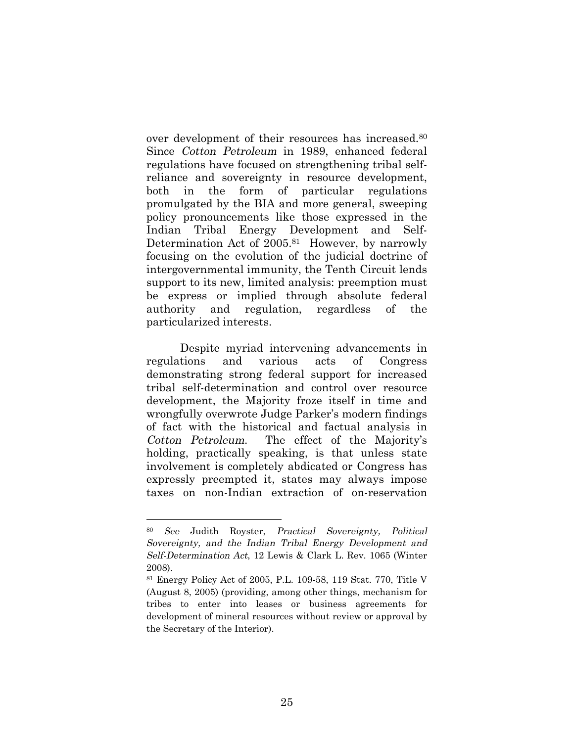over development of their resources has increased.<sup>80</sup> Since Cotton Petroleum in 1989, enhanced federal regulations have focused on strengthening tribal selfreliance and sovereignty in resource development, both in the form of particular regulations promulgated by the BIA and more general, sweeping policy pronouncements like those expressed in the Indian Tribal Energy Development and Self-Determination Act of 2005.81 However, by narrowly focusing on the evolution of the judicial doctrine of intergovernmental immunity, the Tenth Circuit lends support to its new, limited analysis: preemption must be express or implied through absolute federal authority and regulation, regardless of the particularized interests.

Despite myriad intervening advancements in regulations and various acts of Congress demonstrating strong federal support for increased tribal self-determination and control over resource development, the Majority froze itself in time and wrongfully overwrote Judge Parker's modern findings of fact with the historical and factual analysis in Cotton Petroleum. The effect of the Majority's holding, practically speaking, is that unless state involvement is completely abdicated or Congress has expressly preempted it, states may always impose taxes on non-Indian extraction of on-reservation

<sup>80</sup> See Judith Royster, Practical Sovereignty, Political Sovereignty, and the Indian Tribal Energy Development and Self-Determination Act, 12 Lewis & Clark L. Rev. 1065 (Winter 2008).

<sup>81</sup> Energy Policy Act of 2005, P.L. 109-58, 119 Stat. 770, Title V (August 8, 2005) (providing, among other things, mechanism for tribes to enter into leases or business agreements for development of mineral resources without review or approval by the Secretary of the Interior).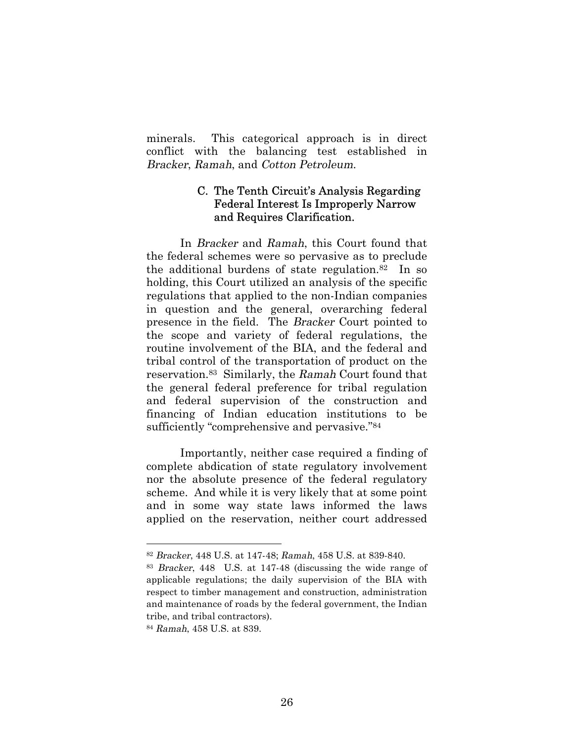minerals. This categorical approach is in direct conflict with the balancing test established in Bracker, Ramah, and Cotton Petroleum.

## C. The Tenth Circuit's Analysis Regarding Federal Interest Is Improperly Narrow and Requires Clarification.

In Bracker and Ramah, this Court found that the federal schemes were so pervasive as to preclude the additional burdens of state regulation.82 In so holding, this Court utilized an analysis of the specific regulations that applied to the non-Indian companies in question and the general, overarching federal presence in the field. The Bracker Court pointed to the scope and variety of federal regulations, the routine involvement of the BIA, and the federal and tribal control of the transportation of product on the reservation.83 Similarly, the Ramah Court found that the general federal preference for tribal regulation and federal supervision of the construction and financing of Indian education institutions to be sufficiently "comprehensive and pervasive."<sup>84</sup>

Importantly, neither case required a finding of complete abdication of state regulatory involvement nor the absolute presence of the federal regulatory scheme. And while it is very likely that at some point and in some way state laws informed the laws applied on the reservation, neither court addressed

<sup>82</sup> Bracker, 448 U.S. at 147-48; Ramah, 458 U.S. at 839-840.

<sup>83</sup> Bracker, 448 U.S. at 147-48 (discussing the wide range of applicable regulations; the daily supervision of the BIA with respect to timber management and construction, administration and maintenance of roads by the federal government, the Indian tribe, and tribal contractors).

<sup>84</sup> Ramah, 458 U.S. at 839.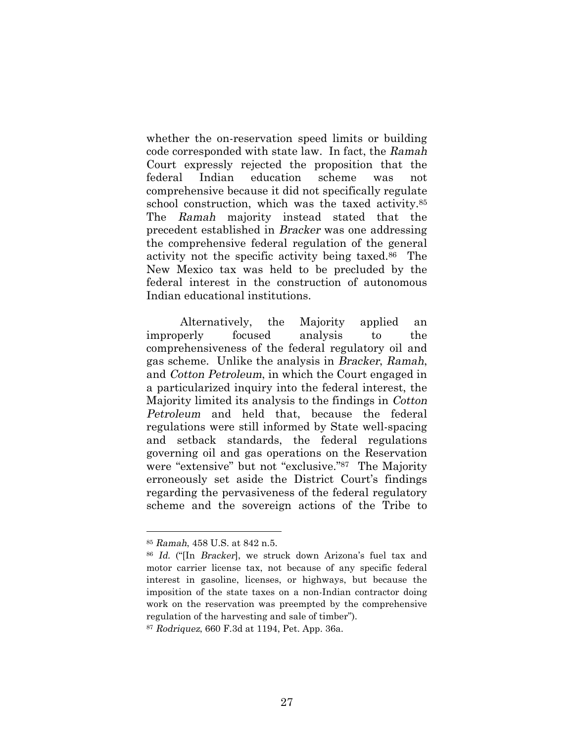whether the on-reservation speed limits or building code corresponded with state law. In fact, the Ramah Court expressly rejected the proposition that the federal Indian education scheme was not comprehensive because it did not specifically regulate school construction, which was the taxed activity.<sup>85</sup> The Ramah majority instead stated that the precedent established in Bracker was one addressing the comprehensive federal regulation of the general activity not the specific activity being taxed.86 The New Mexico tax was held to be precluded by the federal interest in the construction of autonomous Indian educational institutions.

Alternatively, the Majority applied an improperly focused analysis to the comprehensiveness of the federal regulatory oil and gas scheme. Unlike the analysis in Bracker, Ramah, and Cotton Petroleum, in which the Court engaged in a particularized inquiry into the federal interest, the Majority limited its analysis to the findings in Cotton Petroleum and held that, because the federal regulations were still informed by State well-spacing and setback standards, the federal regulations governing oil and gas operations on the Reservation were "extensive" but not "exclusive."87 The Majority erroneously set aside the District Court's findings regarding the pervasiveness of the federal regulatory scheme and the sovereign actions of the Tribe to

<sup>85</sup> Ramah, 458 U.S. at 842 n.5.

<sup>86</sup> Id. ("[In Bracker], we struck down Arizona's fuel tax and motor carrier license tax, not because of any specific federal interest in gasoline, licenses, or highways, but because the imposition of the state taxes on a non-Indian contractor doing work on the reservation was preempted by the comprehensive regulation of the harvesting and sale of timber").

<sup>87</sup> Rodriquez, 660 F.3d at 1194, Pet. App. 36a.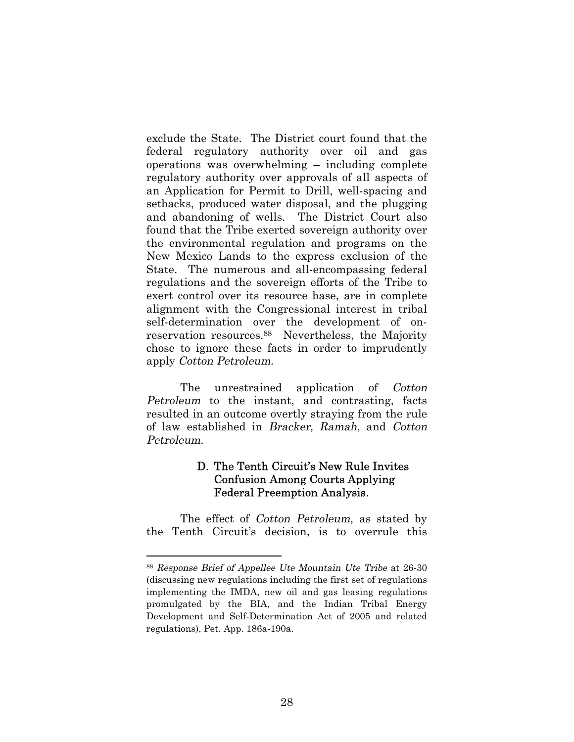exclude the State. The District court found that the federal regulatory authority over oil and gas operations was overwhelming – including complete regulatory authority over approvals of all aspects of an Application for Permit to Drill, well-spacing and setbacks, produced water disposal, and the plugging and abandoning of wells. The District Court also found that the Tribe exerted sovereign authority over the environmental regulation and programs on the New Mexico Lands to the express exclusion of the State. The numerous and all-encompassing federal regulations and the sovereign efforts of the Tribe to exert control over its resource base, are in complete alignment with the Congressional interest in tribal self-determination over the development of onreservation resources.88 Nevertheless, the Majority chose to ignore these facts in order to imprudently apply Cotton Petroleum.

The unrestrained application of Cotton Petroleum to the instant, and contrasting, facts resulted in an outcome overtly straying from the rule of law established in Bracker, Ramah, and Cotton Petroleum.

# D. The Tenth Circuit's New Rule Invites Confusion Among Courts Applying Federal Preemption Analysis.

The effect of Cotton Petroleum, as stated by the Tenth Circuit's decision, is to overrule this

<sup>88</sup> Response Brief of Appellee Ute Mountain Ute Tribe at 26-30 (discussing new regulations including the first set of regulations implementing the IMDA, new oil and gas leasing regulations promulgated by the BIA, and the Indian Tribal Energy Development and Self-Determination Act of 2005 and related regulations), Pet. App. 186a-190a.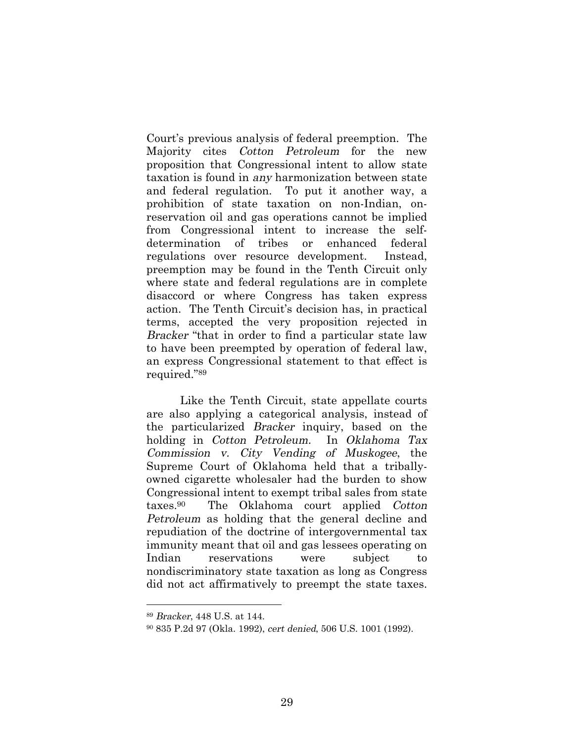Court's previous analysis of federal preemption. The Majority cites Cotton Petroleum for the new proposition that Congressional intent to allow state taxation is found in any harmonization between state and federal regulation. To put it another way, a prohibition of state taxation on non-Indian, onreservation oil and gas operations cannot be implied from Congressional intent to increase the selfdetermination of tribes or enhanced federal regulations over resource development. Instead, preemption may be found in the Tenth Circuit only where state and federal regulations are in complete disaccord or where Congress has taken express action. The Tenth Circuit's decision has, in practical terms, accepted the very proposition rejected in Bracker "that in order to find a particular state law to have been preempted by operation of federal law, an express Congressional statement to that effect is required."<sup>89</sup>

Like the Tenth Circuit, state appellate courts are also applying a categorical analysis, instead of the particularized Bracker inquiry, based on the holding in Cotton Petroleum. In Oklahoma Tax Commission v. City Vending of Muskogee, the Supreme Court of Oklahoma held that a triballyowned cigarette wholesaler had the burden to show Congressional intent to exempt tribal sales from state taxes.90 The Oklahoma court applied Cotton Petroleum as holding that the general decline and repudiation of the doctrine of intergovernmental tax immunity meant that oil and gas lessees operating on Indian reservations were subject to nondiscriminatory state taxation as long as Congress did not act affirmatively to preempt the state taxes.

<sup>89</sup> Bracker, 448 U.S. at 144.

<sup>90</sup> 835 P.2d 97 (Okla. 1992), cert denied, 506 U.S. 1001 (1992).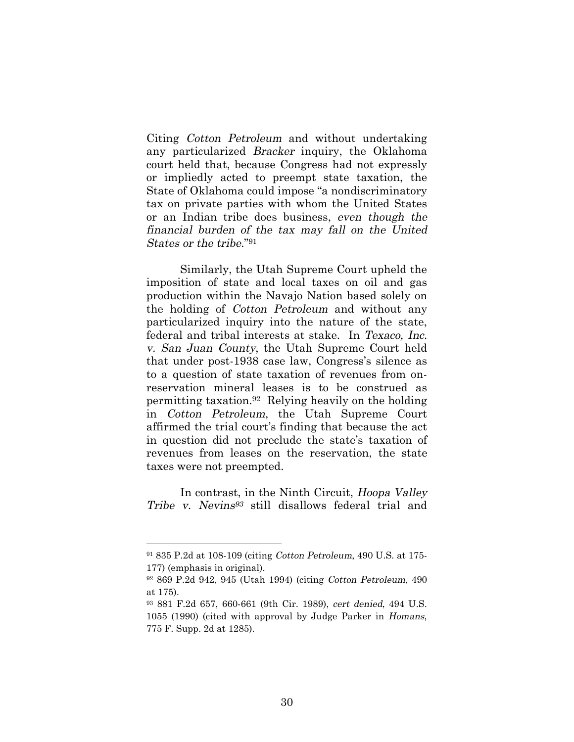Citing Cotton Petroleum and without undertaking any particularized Bracker inquiry, the Oklahoma court held that, because Congress had not expressly or impliedly acted to preempt state taxation, the State of Oklahoma could impose "a nondiscriminatory tax on private parties with whom the United States or an Indian tribe does business, even though the financial burden of the tax may fall on the United States or the tribe."<sup>91</sup>

Similarly, the Utah Supreme Court upheld the imposition of state and local taxes on oil and gas production within the Navajo Nation based solely on the holding of Cotton Petroleum and without any particularized inquiry into the nature of the state, federal and tribal interests at stake. In Texaco, Inc. v. San Juan County, the Utah Supreme Court held that under post-1938 case law, Congress's silence as to a question of state taxation of revenues from onreservation mineral leases is to be construed as permitting taxation.92 Relying heavily on the holding in Cotton Petroleum, the Utah Supreme Court affirmed the trial court's finding that because the act in question did not preclude the state's taxation of revenues from leases on the reservation, the state taxes were not preempted.

In contrast, in the Ninth Circuit, Hoopa Valley Tribe v. Nevins <sup>93</sup> still disallows federal trial and

<sup>91</sup> 835 P.2d at 108-109 (citing Cotton Petroleum, 490 U.S. at 175- 177) (emphasis in original).

<sup>92</sup> 869 P.2d 942, 945 (Utah 1994) (citing Cotton Petroleum, 490 at 175).

<sup>93</sup> 881 F.2d 657, 660-661 (9th Cir. 1989), cert denied, 494 U.S. 1055 (1990) (cited with approval by Judge Parker in Homans, 775 F. Supp. 2d at 1285).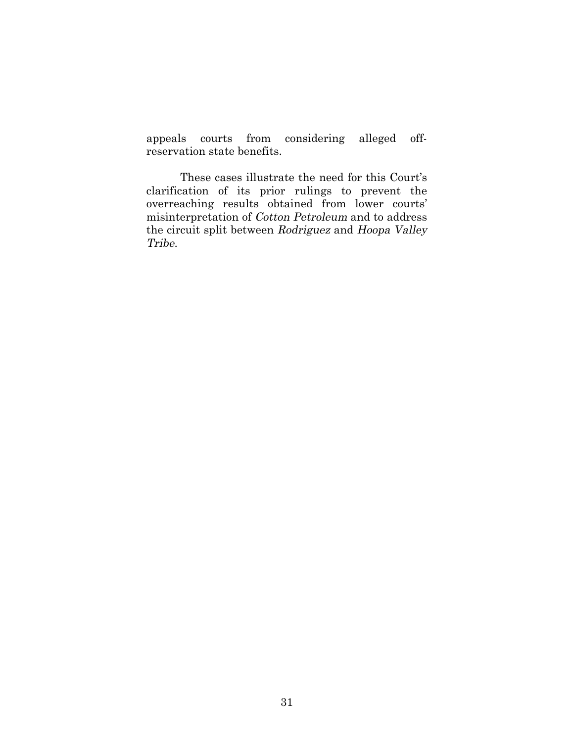appeals courts from considering alleged offreservation state benefits.

These cases illustrate the need for this Court's clarification of its prior rulings to prevent the overreaching results obtained from lower courts' misinterpretation of Cotton Petroleum and to address the circuit split between Rodriguez and Hoopa Valley Tribe.